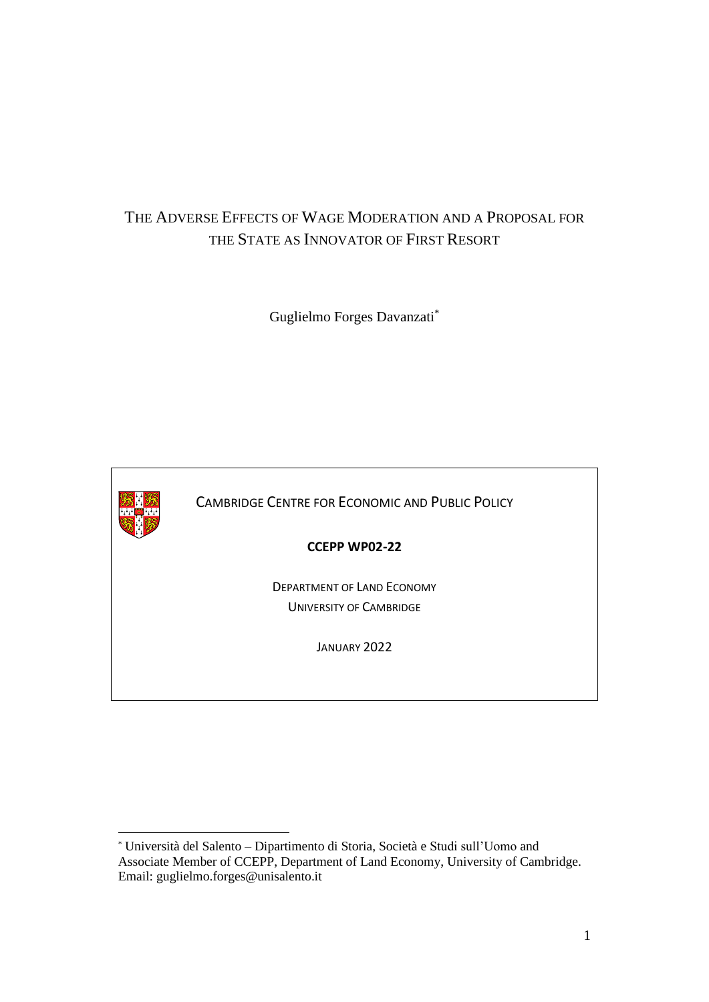# THE ADVERSE EFFECTS OF WAGE MODERATION AND A PROPOSAL FOR THE STATE AS INNOVATOR OF FIRST RESORT

Guglielmo Forges Davanzati\*



CAMBRIDGE CENTRE FOR ECONOMIC AND PUBLIC POLICY

**CCEPP WP02-22**

DEPARTMENT OF LAND ECONOMY UNIVERSITY OF CAMBRIDGE

JANUARY 2022

<sup>\*</sup> Università del Salento – Dipartimento di Storia, Società e Studi sull'Uomo and Associate Member of CCEPP, Department of Land Economy, University of Cambridge. Email: guglielmo.forges@unisalento.it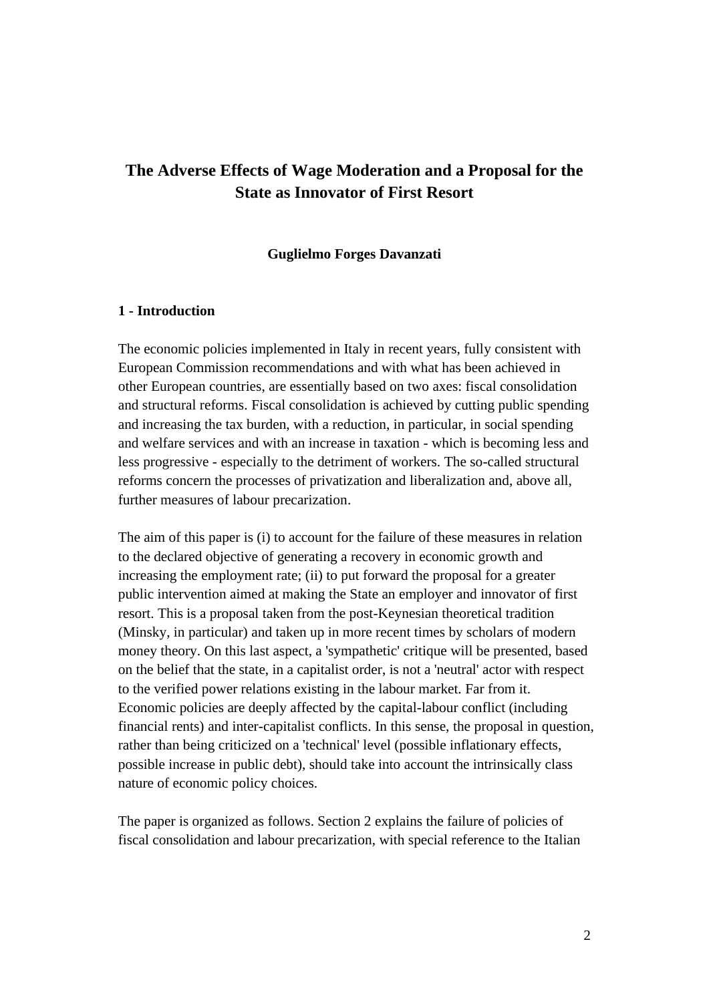## **The Adverse Effects of Wage Moderation and a Proposal for the State as Innovator of First Resort**

#### **Guglielmo Forges Davanzati**

#### **1 - Introduction**

The economic policies implemented in Italy in recent years, fully consistent with European Commission recommendations and with what has been achieved in other European countries, are essentially based on two axes: fiscal consolidation and structural reforms. Fiscal consolidation is achieved by cutting public spending and increasing the tax burden, with a reduction, in particular, in social spending and welfare services and with an increase in taxation - which is becoming less and less progressive - especially to the detriment of workers. The so-called structural reforms concern the processes of privatization and liberalization and, above all, further measures of labour precarization.

The aim of this paper is (i) to account for the failure of these measures in relation to the declared objective of generating a recovery in economic growth and increasing the employment rate; (ii) to put forward the proposal for a greater public intervention aimed at making the State an employer and innovator of first resort. This is a proposal taken from the post-Keynesian theoretical tradition (Minsky, in particular) and taken up in more recent times by scholars of modern money theory. On this last aspect, a 'sympathetic' critique will be presented, based on the belief that the state, in a capitalist order, is not a 'neutral' actor with respect to the verified power relations existing in the labour market. Far from it. Economic policies are deeply affected by the capital-labour conflict (including financial rents) and inter-capitalist conflicts. In this sense, the proposal in question, rather than being criticized on a 'technical' level (possible inflationary effects, possible increase in public debt), should take into account the intrinsically class nature of economic policy choices.

The paper is organized as follows. Section 2 explains the failure of policies of fiscal consolidation and labour precarization, with special reference to the Italian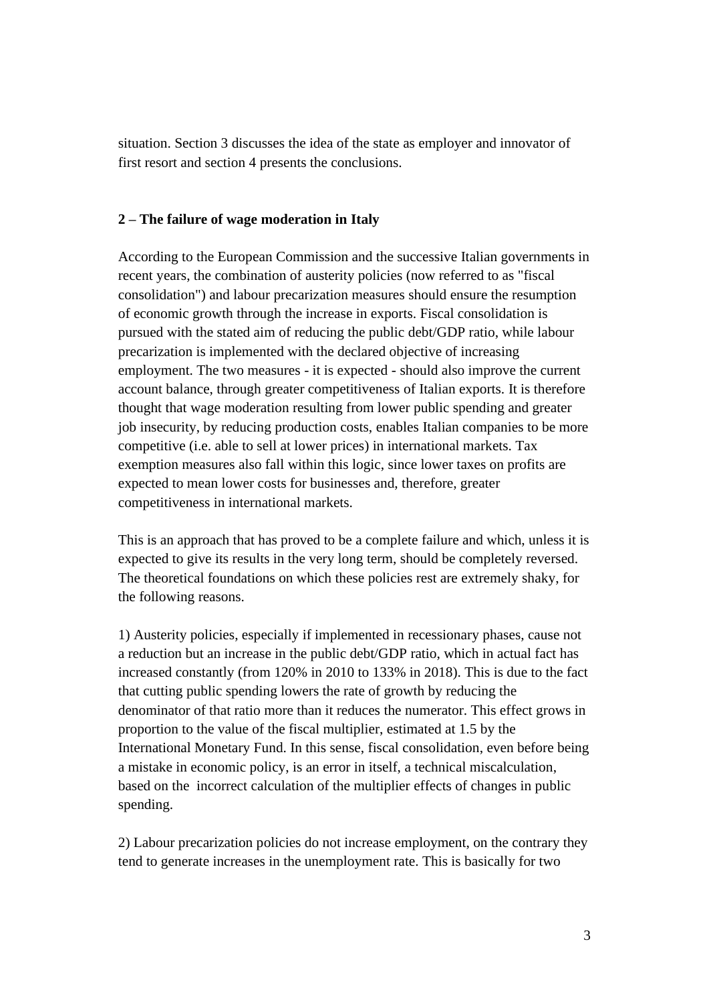situation. Section 3 discusses the idea of the state as employer and innovator of first resort and section 4 presents the conclusions.

#### **2 – The failure of wage moderation in Italy**

According to the European Commission and the successive Italian governments in recent years, the combination of austerity policies (now referred to as "fiscal consolidation") and labour precarization measures should ensure the resumption of economic growth through the increase in exports. Fiscal consolidation is pursued with the stated aim of reducing the public debt/GDP ratio, while labour precarization is implemented with the declared objective of increasing employment. The two measures - it is expected - should also improve the current account balance, through greater competitiveness of Italian exports. It is therefore thought that wage moderation resulting from lower public spending and greater job insecurity, by reducing production costs, enables Italian companies to be more competitive (i.e. able to sell at lower prices) in international markets. Tax exemption measures also fall within this logic, since lower taxes on profits are expected to mean lower costs for businesses and, therefore, greater competitiveness in international markets.

This is an approach that has proved to be a complete failure and which, unless it is expected to give its results in the very long term, should be completely reversed. The theoretical foundations on which these policies rest are extremely shaky, for the following reasons.

1) Austerity policies, especially if implemented in recessionary phases, cause not a reduction but an increase in the public debt/GDP ratio, which in actual fact has increased constantly (from 120% in 2010 to 133% in 2018). This is due to the fact that cutting public spending lowers the rate of growth by reducing the denominator of that ratio more than it reduces the numerator. This effect grows in proportion to the value of the fiscal multiplier, estimated at 1.5 by the International Monetary Fund. In this sense, fiscal consolidation, even before being a mistake in economic policy, is an error in itself, a technical miscalculation, based on the incorrect calculation of the multiplier effects of changes in public spending.

2) Labour precarization policies do not increase employment, on the contrary they tend to generate increases in the unemployment rate. This is basically for two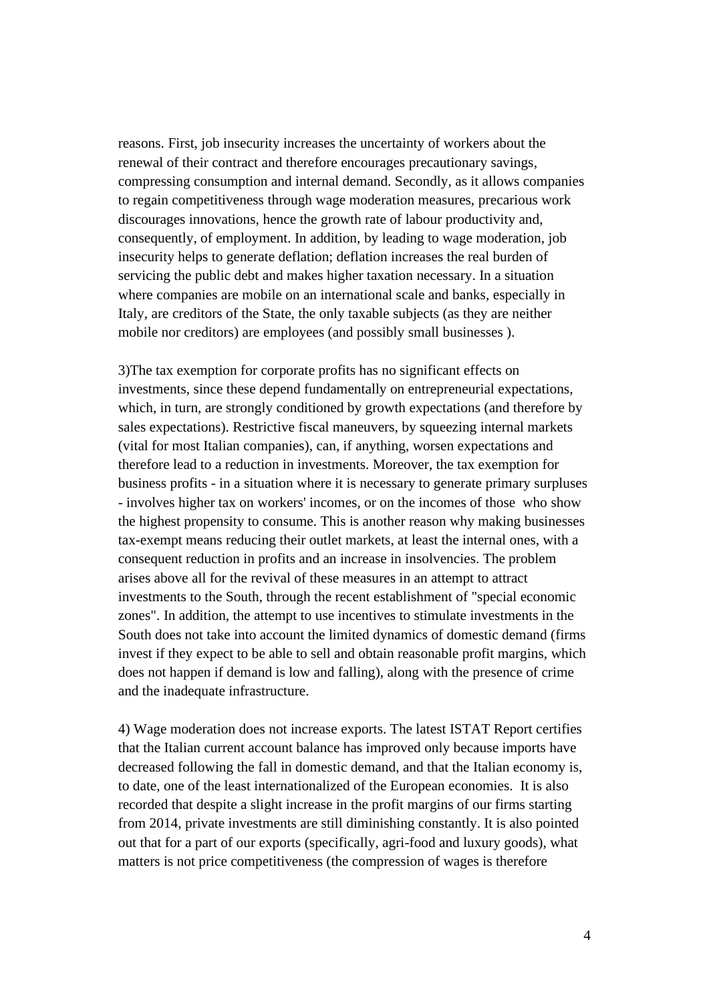reasons. First, job insecurity increases the uncertainty of workers about the renewal of their contract and therefore encourages precautionary savings, compressing consumption and internal demand. Secondly, as it allows companies to regain competitiveness through wage moderation measures, precarious work discourages innovations, hence the growth rate of labour productivity and, consequently, of employment. In addition, by leading to wage moderation, job insecurity helps to generate deflation; deflation increases the real burden of servicing the public debt and makes higher taxation necessary. In a situation where companies are mobile on an international scale and banks, especially in Italy, are creditors of the State, the only taxable subjects (as they are neither mobile nor creditors) are employees (and possibly small businesses ).

3)The tax exemption for corporate profits has no significant effects on investments, since these depend fundamentally on entrepreneurial expectations, which, in turn, are strongly conditioned by growth expectations (and therefore by sales expectations). Restrictive fiscal maneuvers, by squeezing internal markets (vital for most Italian companies), can, if anything, worsen expectations and therefore lead to a reduction in investments. Moreover, the tax exemption for business profits - in a situation where it is necessary to generate primary surpluses - involves higher tax on workers' incomes, or on the incomes of those who show the highest propensity to consume. This is another reason why making businesses tax-exempt means reducing their outlet markets, at least the internal ones, with a consequent reduction in profits and an increase in insolvencies. The problem arises above all for the revival of these measures in an attempt to attract investments to the South, through the recent establishment of "special economic zones". In addition, the attempt to use incentives to stimulate investments in the South does not take into account the limited dynamics of domestic demand (firms invest if they expect to be able to sell and obtain reasonable profit margins, which does not happen if demand is low and falling), along with the presence of crime and the inadequate infrastructure.

4) Wage moderation does not increase exports. The latest ISTAT Report certifies that the Italian current account balance has improved only because imports have decreased following the fall in domestic demand, and that the Italian economy is, to date, one of the least internationalized of the European economies. It is also recorded that despite a slight increase in the profit margins of our firms starting from 2014, private investments are still diminishing constantly. It is also pointed out that for a part of our exports (specifically, agri-food and luxury goods), what matters is not price competitiveness (the compression of wages is therefore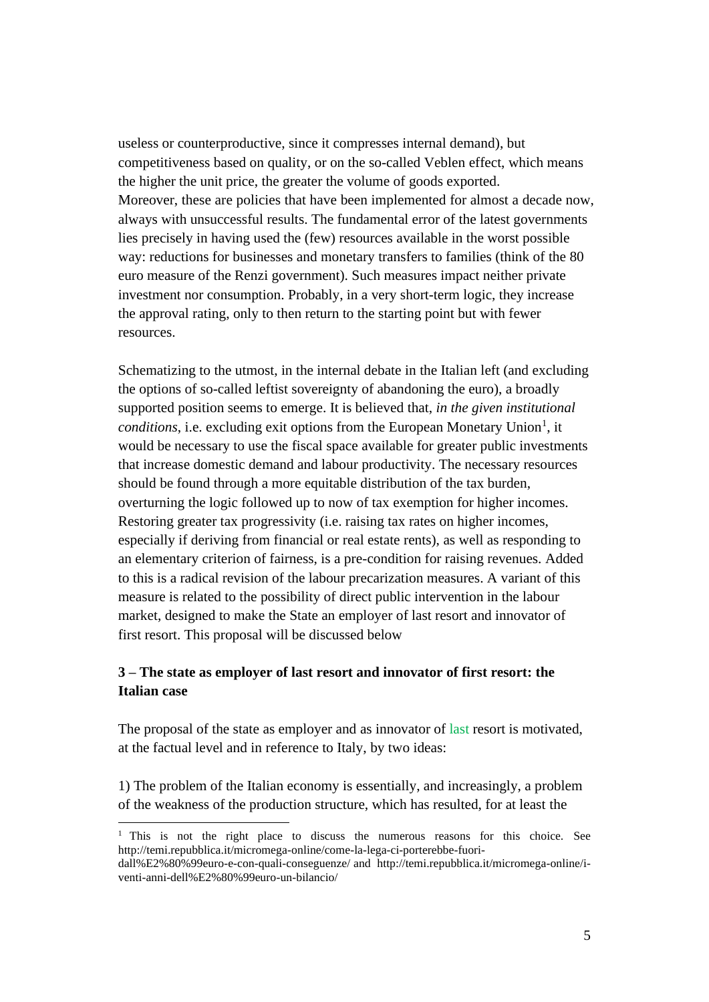useless or counterproductive, since it compresses internal demand), but competitiveness based on quality, or on the so-called Veblen effect, which means the higher the unit price, the greater the volume of goods exported. Moreover, these are policies that have been implemented for almost a decade now, always with unsuccessful results. The fundamental error of the latest governments lies precisely in having used the (few) resources available in the worst possible way: reductions for businesses and monetary transfers to families (think of the 80 euro measure of the Renzi government). Such measures impact neither private investment nor consumption. Probably, in a very short-term logic, they increase the approval rating, only to then return to the starting point but with fewer resources.

Schematizing to the utmost, in the internal debate in the Italian left (and excluding the options of so-called leftist sovereignty of abandoning the euro), a broadly supported position seems to emerge. It is believed that, *in the given institutional conditions*, i.e. excluding exit options from the European Monetary Union<sup>1</sup>, it would be necessary to use the fiscal space available for greater public investments that increase domestic demand and labour productivity. The necessary resources should be found through a more equitable distribution of the tax burden, overturning the logic followed up to now of tax exemption for higher incomes. Restoring greater tax progressivity (i.e. raising tax rates on higher incomes, especially if deriving from financial or real estate rents), as well as responding to an elementary criterion of fairness, is a pre-condition for raising revenues. Added to this is a radical revision of the labour precarization measures. A variant of this measure is related to the possibility of direct public intervention in the labour market, designed to make the State an employer of last resort and innovator of first resort. This proposal will be discussed below

### **3 – The state as employer of last resort and innovator of first resort: the Italian case**

The proposal of the state as employer and as innovator of last resort is motivated, at the factual level and in reference to Italy, by two ideas:

1) The problem of the Italian economy is essentially, and increasingly, a problem of the weakness of the production structure, which has resulted, for at least the

<sup>&</sup>lt;sup>1</sup> This is not the right place to discuss the numerous reasons for this choice. See http://temi.repubblica.it/micromega-online/come-la-lega-ci-porterebbe-fuori-

dall%E2%80%99euro-e-con-quali-conseguenze/ and http://temi.repubblica.it/micromega-online/iventi-anni-dell%E2%80%99euro-un-bilancio/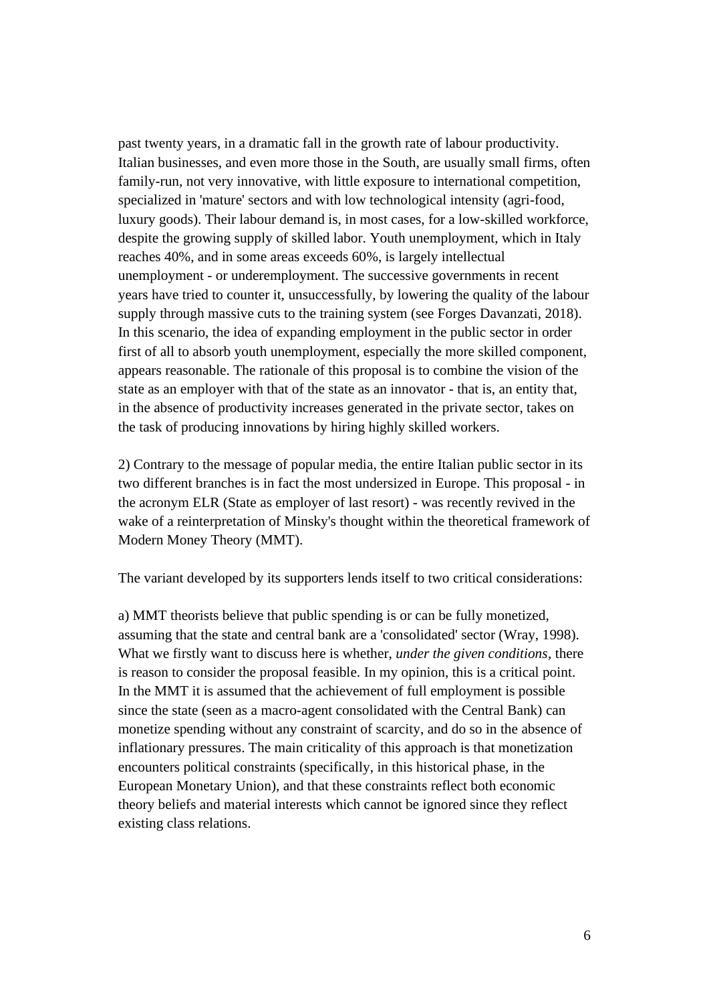past twenty years, in a dramatic fall in the growth rate of labour productivity. Italian businesses, and even more those in the South, are usually small firms, often family-run, not very innovative, with little exposure to international competition, specialized in 'mature' sectors and with low technological intensity (agri-food, luxury goods). Their labour demand is, in most cases, for a low-skilled workforce, despite the growing supply of skilled labor. Youth unemployment, which in Italy reaches 40%, and in some areas exceeds 60%, is largely intellectual unemployment - or underemployment. The successive governments in recent years have tried to counter it, unsuccessfully, by lowering the quality of the labour supply through massive cuts to the training system (see Forges Davanzati, 2018). In this scenario, the idea of expanding employment in the public sector in order first of all to absorb youth unemployment, especially the more skilled component, appears reasonable. The rationale of this proposal is to combine the vision of the state as an employer with that of the state as an innovator - that is, an entity that, in the absence of productivity increases generated in the private sector, takes on the task of producing innovations by hiring highly skilled workers.

2) Contrary to the message of popular media, the entire Italian public sector in its two different branches is in fact the most undersized in Europe. This proposal - in the acronym ELR (State as employer of last resort) - was recently revived in the wake of a reinterpretation of Minsky's thought within the theoretical framework of Modern Money Theory (MMT).

The variant developed by its supporters lends itself to two critical considerations:

a) MMT theorists believe that public spending is or can be fully monetized, assuming that the state and central bank are a 'consolidated' sector (Wray, 1998). What we firstly want to discuss here is whether, *under the given conditions*, there is reason to consider the proposal feasible. In my opinion, this is a critical point. In the MMT it is assumed that the achievement of full employment is possible since the state (seen as a macro-agent consolidated with the Central Bank) can monetize spending without any constraint of scarcity, and do so in the absence of inflationary pressures. The main criticality of this approach is that monetization encounters political constraints (specifically, in this historical phase, in the European Monetary Union), and that these constraints reflect both economic theory beliefs and material interests which cannot be ignored since they reflect existing class relations.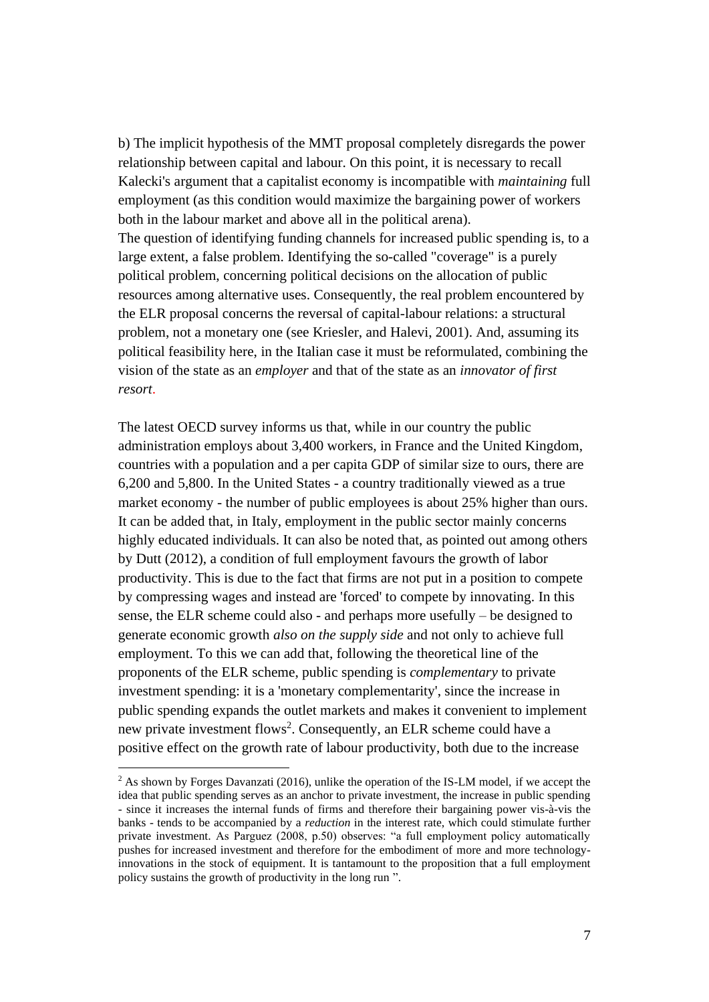b) The implicit hypothesis of the MMT proposal completely disregards the power relationship between capital and labour. On this point, it is necessary to recall Kalecki's argument that a capitalist economy is incompatible with *maintaining* full employment (as this condition would maximize the bargaining power of workers both in the labour market and above all in the political arena). The question of identifying funding channels for increased public spending is, to a large extent, a false problem. Identifying the so-called "coverage" is a purely political problem, concerning political decisions on the allocation of public resources among alternative uses. Consequently, the real problem encountered by the ELR proposal concerns the reversal of capital-labour relations: a structural problem, not a monetary one (see Kriesler, and Halevi, 2001). And, assuming its political feasibility here, in the Italian case it must be reformulated, combining the vision of the state as an *employer* and that of the state as an *innovator of first resort*.

The latest OECD survey informs us that, while in our country the public administration employs about 3,400 workers, in France and the United Kingdom, countries with a population and a per capita GDP of similar size to ours, there are 6,200 and 5,800. In the United States - a country traditionally viewed as a true market economy - the number of public employees is about 25% higher than ours. It can be added that, in Italy, employment in the public sector mainly concerns highly educated individuals. It can also be noted that, as pointed out among others by Dutt (2012), a condition of full employment favours the growth of labor productivity. This is due to the fact that firms are not put in a position to compete by compressing wages and instead are 'forced' to compete by innovating. In this sense, the ELR scheme could also - and perhaps more usefully – be designed to generate economic growth *also on the supply side* and not only to achieve full employment. To this we can add that, following the theoretical line of the proponents of the ELR scheme, public spending is *complementary* to private investment spending: it is a 'monetary complementarity', since the increase in public spending expands the outlet markets and makes it convenient to implement new private investment flows<sup>2</sup>. Consequently, an ELR scheme could have a positive effect on the growth rate of labour productivity, both due to the increase

 $^{2}$  As shown by Forges Davanzati (2016), unlike the operation of the IS-LM model, if we accept the idea that public spending serves as an anchor to private investment, the increase in public spending - since it increases the internal funds of firms and therefore their bargaining power vis-à-vis the banks - tends to be accompanied by a *reduction* in the interest rate, which could stimulate further private investment. As Parguez (2008, p.50) observes: "a full employment policy automatically pushes for increased investment and therefore for the embodiment of more and more technologyinnovations in the stock of equipment. It is tantamount to the proposition that a full employment policy sustains the growth of productivity in the long run ".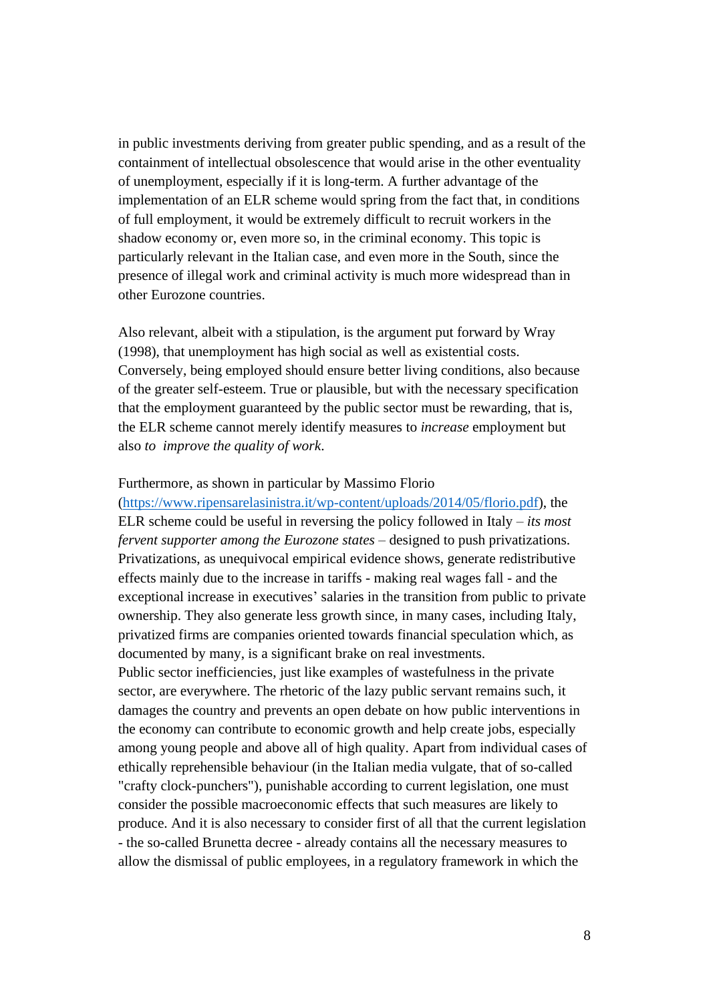in public investments deriving from greater public spending, and as a result of the containment of intellectual obsolescence that would arise in the other eventuality of unemployment, especially if it is long-term. A further advantage of the implementation of an ELR scheme would spring from the fact that, in conditions of full employment, it would be extremely difficult to recruit workers in the shadow economy or, even more so, in the criminal economy. This topic is particularly relevant in the Italian case, and even more in the South, since the presence of illegal work and criminal activity is much more widespread than in other Eurozone countries.

Also relevant, albeit with a stipulation, is the argument put forward by Wray (1998), that unemployment has high social as well as existential costs. Conversely, being employed should ensure better living conditions, also because of the greater self-esteem. True or plausible, but with the necessary specification that the employment guaranteed by the public sector must be rewarding, that is, the ELR scheme cannot merely identify measures to *increase* employment but also *to improve the quality of work*.

#### Furthermore, as shown in particular by Massimo Florio

[\(https://www.ripensarelasinistra.it/wp-content/uploads/2014/05/florio.pdf\)](https://www.ripensarelasinistra.it/wp-content/uploads/2014/05/florio.pdf), the ELR scheme could be useful in reversing the policy followed in Italy – *its most fervent supporter among the Eurozone states* – designed to push privatizations. Privatizations, as unequivocal empirical evidence shows, generate redistributive effects mainly due to the increase in tariffs - making real wages fall - and the exceptional increase in executives' salaries in the transition from public to private ownership. They also generate less growth since, in many cases, including Italy, privatized firms are companies oriented towards financial speculation which, as documented by many, is a significant brake on real investments.

Public sector inefficiencies, just like examples of wastefulness in the private sector, are everywhere. The rhetoric of the lazy public servant remains such, it damages the country and prevents an open debate on how public interventions in the economy can contribute to economic growth and help create jobs, especially among young people and above all of high quality. Apart from individual cases of ethically reprehensible behaviour (in the Italian media vulgate, that of so-called "crafty clock-punchers"), punishable according to current legislation, one must consider the possible macroeconomic effects that such measures are likely to produce. And it is also necessary to consider first of all that the current legislation - the so-called Brunetta decree - already contains all the necessary measures to allow the dismissal of public employees, in a regulatory framework in which the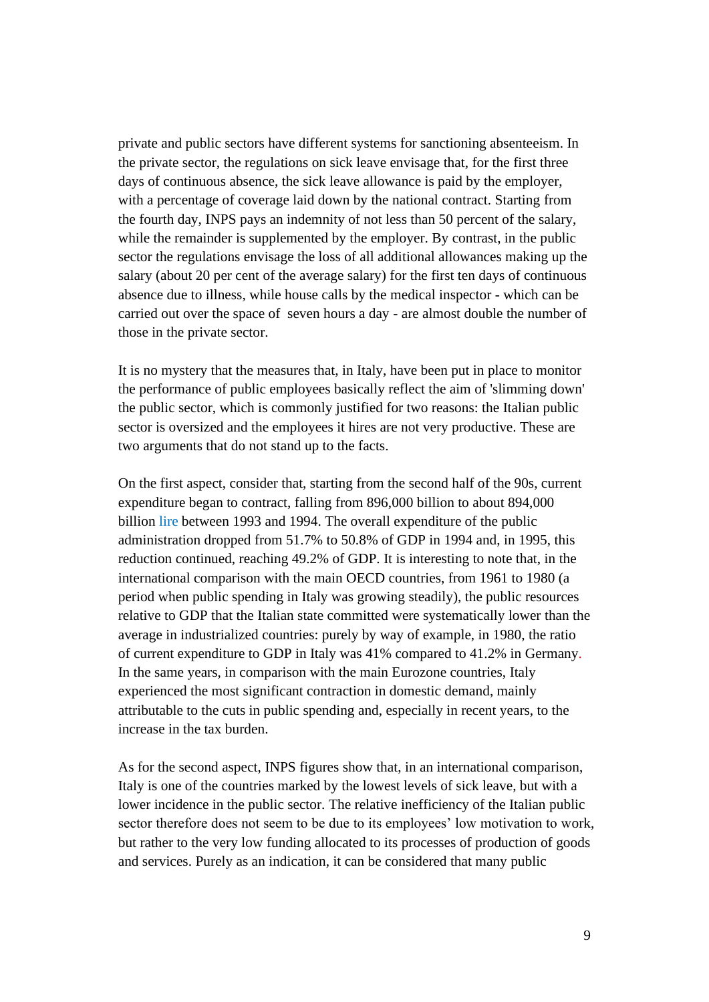private and public sectors have different systems for sanctioning absenteeism. In the private sector, the regulations on sick leave envisage that, for the first three days of continuous absence, the sick leave allowance is paid by the employer, with a percentage of coverage laid down by the national contract. Starting from the fourth day, INPS pays an indemnity of not less than 50 percent of the salary, while the remainder is supplemented by the employer. By contrast, in the public sector the regulations envisage the loss of all additional allowances making up the salary (about 20 per cent of the average salary) for the first ten days of continuous absence due to illness, while house calls by the medical inspector - which can be carried out over the space of seven hours a day - are almost double the number of those in the private sector.

It is no mystery that the measures that, in Italy, have been put in place to monitor the performance of public employees basically reflect the aim of 'slimming down' the public sector, which is commonly justified for two reasons: the Italian public sector is oversized and the employees it hires are not very productive. These are two arguments that do not stand up to the facts.

On the first aspect, consider that, starting from the second half of the 90s, current expenditure began to contract, falling from 896,000 billion to about 894,000 billion lire between 1993 and 1994. The overall expenditure of the public administration dropped from 51.7% to 50.8% of GDP in 1994 and, in 1995, this reduction continued, reaching 49.2% of GDP. It is interesting to note that, in the international comparison with the main OECD countries, from 1961 to 1980 (a period when public spending in Italy was growing steadily), the public resources relative to GDP that the Italian state committed were systematically lower than the average in industrialized countries: purely by way of example, in 1980, the ratio of current expenditure to GDP in Italy was 41% compared to 41.2% in Germany. In the same years, in comparison with the main Eurozone countries, Italy experienced the most significant contraction in domestic demand, mainly attributable to the cuts in public spending and, especially in recent years, to the increase in the tax burden.

As for the second aspect, INPS figures show that, in an international comparison, Italy is one of the countries marked by the lowest levels of sick leave, but with a lower incidence in the public sector. The relative inefficiency of the Italian public sector therefore does not seem to be due to its employees' low motivation to work, but rather to the very low funding allocated to its processes of production of goods and services. Purely as an indication, it can be considered that many public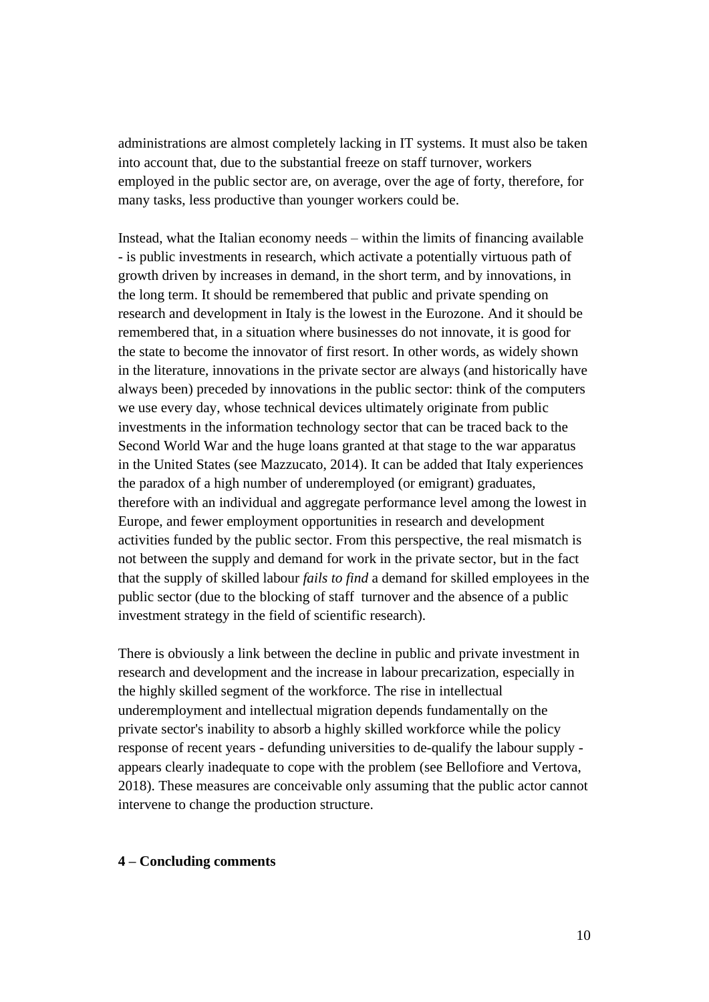administrations are almost completely lacking in IT systems. It must also be taken into account that, due to the substantial freeze on staff turnover, workers employed in the public sector are, on average, over the age of forty, therefore, for many tasks, less productive than younger workers could be.

Instead, what the Italian economy needs – within the limits of financing available - is public investments in research, which activate a potentially virtuous path of growth driven by increases in demand, in the short term, and by innovations, in the long term. It should be remembered that public and private spending on research and development in Italy is the lowest in the Eurozone. And it should be remembered that, in a situation where businesses do not innovate, it is good for the state to become the innovator of first resort. In other words, as widely shown in the literature, innovations in the private sector are always (and historically have always been) preceded by innovations in the public sector: think of the computers we use every day, whose technical devices ultimately originate from public investments in the information technology sector that can be traced back to the Second World War and the huge loans granted at that stage to the war apparatus in the United States (see Mazzucato, 2014). It can be added that Italy experiences the paradox of a high number of underemployed (or emigrant) graduates, therefore with an individual and aggregate performance level among the lowest in Europe, and fewer employment opportunities in research and development activities funded by the public sector. From this perspective, the real mismatch is not between the supply and demand for work in the private sector, but in the fact that the supply of skilled labour *fails to find* a demand for skilled employees in the public sector (due to the blocking of staff turnover and the absence of a public investment strategy in the field of scientific research).

There is obviously a link between the decline in public and private investment in research and development and the increase in labour precarization, especially in the highly skilled segment of the workforce. The rise in intellectual underemployment and intellectual migration depends fundamentally on the private sector's inability to absorb a highly skilled workforce while the policy response of recent years - defunding universities to de-qualify the labour supply appears clearly inadequate to cope with the problem (see Bellofiore and Vertova, 2018). These measures are conceivable only assuming that the public actor cannot intervene to change the production structure.

#### **4 – Concluding comments**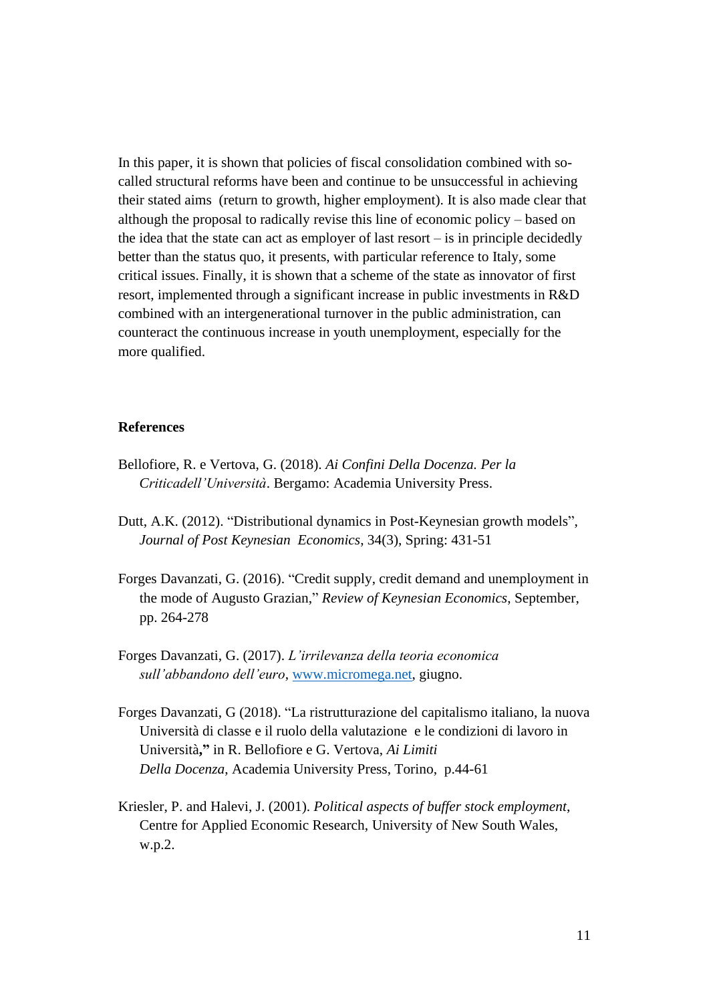In this paper, it is shown that policies of fiscal consolidation combined with socalled structural reforms have been and continue to be unsuccessful in achieving their stated aims (return to growth, higher employment). It is also made clear that although the proposal to radically revise this line of economic policy – based on the idea that the state can act as employer of last resort – is in principle decidedly better than the status quo, it presents, with particular reference to Italy, some critical issues. Finally, it is shown that a scheme of the state as innovator of first resort, implemented through a significant increase in public investments in R&D combined with an intergenerational turnover in the public administration, can counteract the continuous increase in youth unemployment, especially for the more qualified.

#### **References**

- Bellofiore, R. e Vertova, G. (2018). *Ai Confini Della Docenza. Per la Criticadell'Università*. Bergamo: Academia University Press.
- Dutt, A.K. (2012). "Distributional dynamics in Post-Keynesian growth models", *Journal of Post Keynesian Economics*, 34(3), Spring: 431-51
- Forges Davanzati, G. (2016). "Credit supply, credit demand and unemployment in the mode of Augusto Grazian," *Review of Keynesian Economics*, September, pp. 264-278
- Forges Davanzati, G. (2017). *L'irrilevanza della teoria economica sull'abbandono dell'euro*, [www.micromega.net,](http://www.micromega.net/) giugno.
- Forges Davanzati, G (2018). "La ristrutturazione del capitalismo italiano, la nuova Università di classe e il ruolo della valutazione e le condizioni di lavoro in Università**,"** in R. Bellofiore e G. Vertova, *Ai Limiti Della Docenza*, Academia University Press, Torino, p.44-61
- Kriesler, P. and Halevi, J. (2001). *Political aspects of buffer stock employment*, Centre for Applied Economic Research, University of New South Wales, w.p.2.